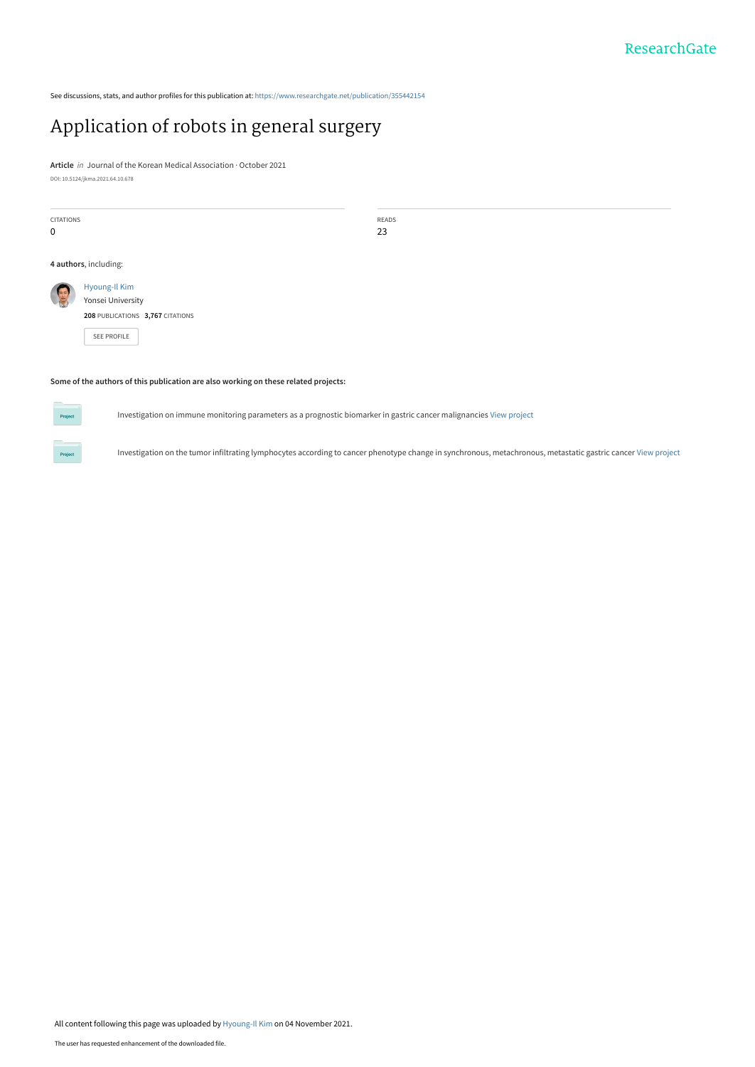See discussions, stats, and author profiles for this publication at: [https://www.researchgate.net/publication/355442154](https://www.researchgate.net/publication/355442154_Application_of_robots_in_general_surgery?enrichId=rgreq-f312822860ca927ef2241c4e58322c08-XXX&enrichSource=Y292ZXJQYWdlOzM1NTQ0MjE1NDtBUzoxMDg2MzkyNzE3MzEyMDAwQDE2MzYwMjc2MTYwNDg%3D&el=1_x_2&_esc=publicationCoverPdf)

# [Application of robots in general surgery](https://www.researchgate.net/publication/355442154_Application_of_robots_in_general_surgery?enrichId=rgreq-f312822860ca927ef2241c4e58322c08-XXX&enrichSource=Y292ZXJQYWdlOzM1NTQ0MjE1NDtBUzoxMDg2MzkyNzE3MzEyMDAwQDE2MzYwMjc2MTYwNDg%3D&el=1_x_3&_esc=publicationCoverPdf)

**Article** in Journal of the Korean Medical Association · October 2021 DOI: 10.5124/jkma.2021.64.10.678

| <b>CITATIONS</b><br>$\mathbf 0$                                                     |                                    | READS<br>23 |  |  |
|-------------------------------------------------------------------------------------|------------------------------------|-------------|--|--|
|                                                                                     | 4 authors, including:              |             |  |  |
| C                                                                                   | Hyoung-Il Kim<br>Yonsei University |             |  |  |
|                                                                                     | 208 PUBLICATIONS 3,767 CITATIONS   |             |  |  |
|                                                                                     | SEE PROFILE                        |             |  |  |
|                                                                                     |                                    |             |  |  |
| Some of the authors of this publication are also working on these related projects: |                                    |             |  |  |

**Some of the authors of this publication are also working on these related projects:**

**Project** 

Investigation on immune monitoring parameters as a prognostic biomarker in gastric cancer malignancies [View project](https://www.researchgate.net/project/Investigation-on-immune-monitoring-parameters-as-a-prognostic-biomarker-in-gastric-cancer-malignancies?enrichId=rgreq-f312822860ca927ef2241c4e58322c08-XXX&enrichSource=Y292ZXJQYWdlOzM1NTQ0MjE1NDtBUzoxMDg2MzkyNzE3MzEyMDAwQDE2MzYwMjc2MTYwNDg%3D&el=1_x_9&_esc=publicationCoverPdf)

Investigation on the tumor infiltrating lymphocytes according to cancer phenotype change in synchronous, metachronous, metastatic gastric cancer [View project](https://www.researchgate.net/project/Investigation-on-the-tumor-infiltrating-lymphocytes-according-to-cancer-phenotype-change-in-synchronous-metachronous-metastatic-gastric-cancer?enrichId=rgreq-f312822860ca927ef2241c4e58322c08-XXX&enrichSource=Y292ZXJQYWdlOzM1NTQ0MjE1NDtBUzoxMDg2MzkyNzE3MzEyMDAwQDE2MzYwMjc2MTYwNDg%3D&el=1_x_9&_esc=publicationCoverPdf)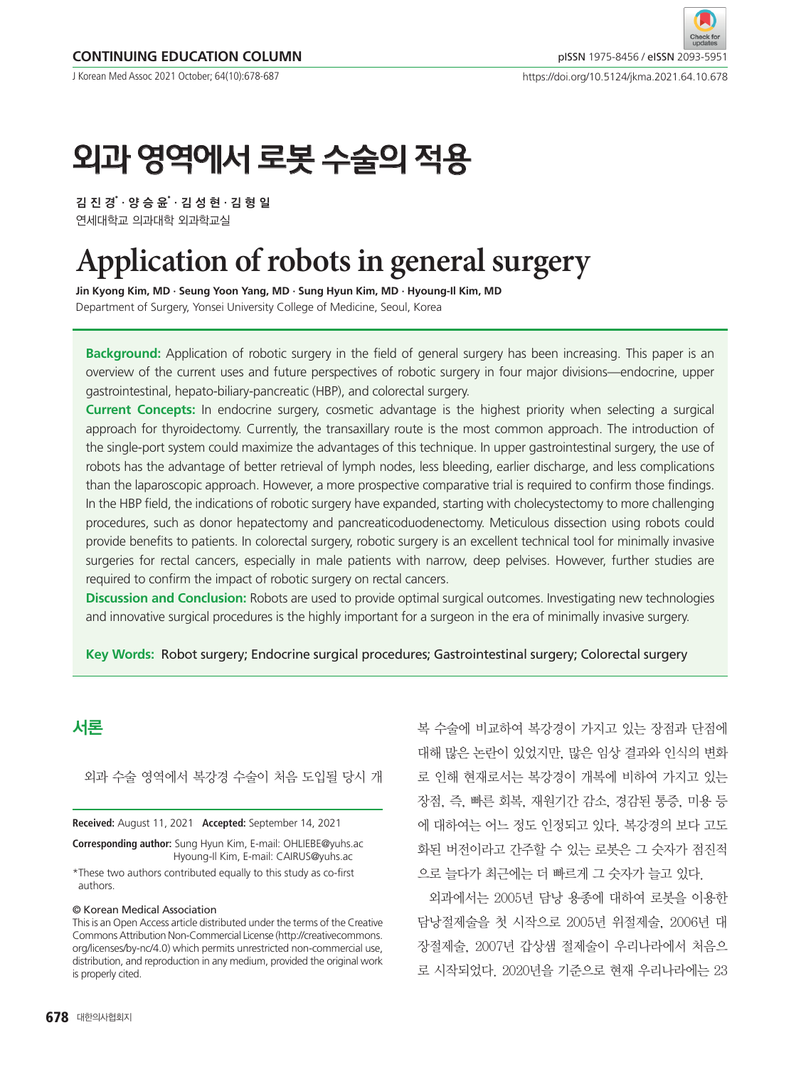J Korean Med Assoc 2021 October; 64(10):678-687

# 외과 영역에서 로봇 수술의 적용

김 진 경゙·양 승 윤゙· 김 성 현 · 김 형 일 연세대학교 의과대학 외과학교실

# **Application of robots in general surgery**

**Jin Kyong Kim, MD · Seung Yoon Yang, MD · Sung Hyun Kim, MD · Hyoung-Il Kim, MD** Department of Surgery, Yonsei University College of Medicine, Seoul, Korea

**Background:** Application of robotic surgery in the field of general surgery has been increasing. This paper is an overview of the current uses and future perspectives of robotic surgery in four major divisions—endocrine, upper gastrointestinal, hepato-biliary-pancreatic (HBP), and colorectal surgery.

**Current Concepts:** In endocrine surgery, cosmetic advantage is the highest priority when selecting a surgical approach for thyroidectomy. Currently, the transaxillary route is the most common approach. The introduction of the single-port system could maximize the advantages of this technique. In upper gastrointestinal surgery, the use of robots has the advantage of better retrieval of lymph nodes, less bleeding, earlier discharge, and less complications than the laparoscopic approach. However, a more prospective comparative trial is required to confirm those findings. In the HBP field, the indications of robotic surgery have expanded, starting with cholecystectomy to more challenging procedures, such as donor hepatectomy and pancreaticoduodenectomy. Meticulous dissection using robots could provide benefits to patients. In colorectal surgery, robotic surgery is an excellent technical tool for minimally invasive surgeries for rectal cancers, especially in male patients with narrow, deep pelvises. However, further studies are required to confirm the impact of robotic surgery on rectal cancers.

**Discussion and Conclusion:** Robots are used to provide optimal surgical outcomes. Investigating new technologies and innovative surgical procedures is the highly important for a surgeon in the era of minimally invasive surgery.

**Key Words:** Robot surgery; Endocrine surgical procedures; Gastrointestinal surgery; Colorectal surgery

# 서론

외과 수술 영역에서 복강경 수술이 처음 도입될 당시 개

**Received:** August 11, 2021 **Accepted:** September 14, 2021

**Corresponding author:** Sung Hyun Kim, E-mail: [OHLIEBE@yuhs.ac](mailto:OHLIEBE@yuhs.ac) Hyoung-Il Kim, E-mail: [CAIRUS@yuhs.ac](mailto:CAIRUS@yuhs.ac)

\*These two authors contributed equally to this study as co-first authors.

#### © Korean Medical Association

This is an Open Access article distributed under the terms of the Creative Commons Attribution Non-Commercial License [\(http://creativecommons.](http://creativecommons.org/licenses/by) [org/licenses/by](http://creativecommons.org/licenses/by)-nc/4.0) which permits unrestricted non-commercial use, distribution, and reproduction in any medium, provided the original work is properly cited.

복 수술에 비교하여 복강경이 가지고 있는 장점과 단점에 대해 많은 논란이 있었지만, 많은 임상 결과와 인식의 변화 로 인해 현재로서는 복강경이 개복에 비하여 가지고 있는 장점, 즉, 빠른 회복, 재원기간 감소, 경감된 통증, 미용 등 에 대하여는 어느 정도 인정되고 있다. 복강경의 보다 고도 화된 버전이라고 간주할 수 있는 로봇은 그 숫자가 점진적 으로 늘다가 최근에는 더 빠르게 그 숫자가 늘고 있다.

외과에서는 2005년 담낭 용종에 대하여 로봇을 이용한 담낭절제술을 첫 시작으로 2005년 위절제술, 2006년 대 장절제술, 2007년 갑상샘 절제술이 우리나라에서 처음으 로 시작되었다. 2020년을 기준으로 현재 우리나라에는 23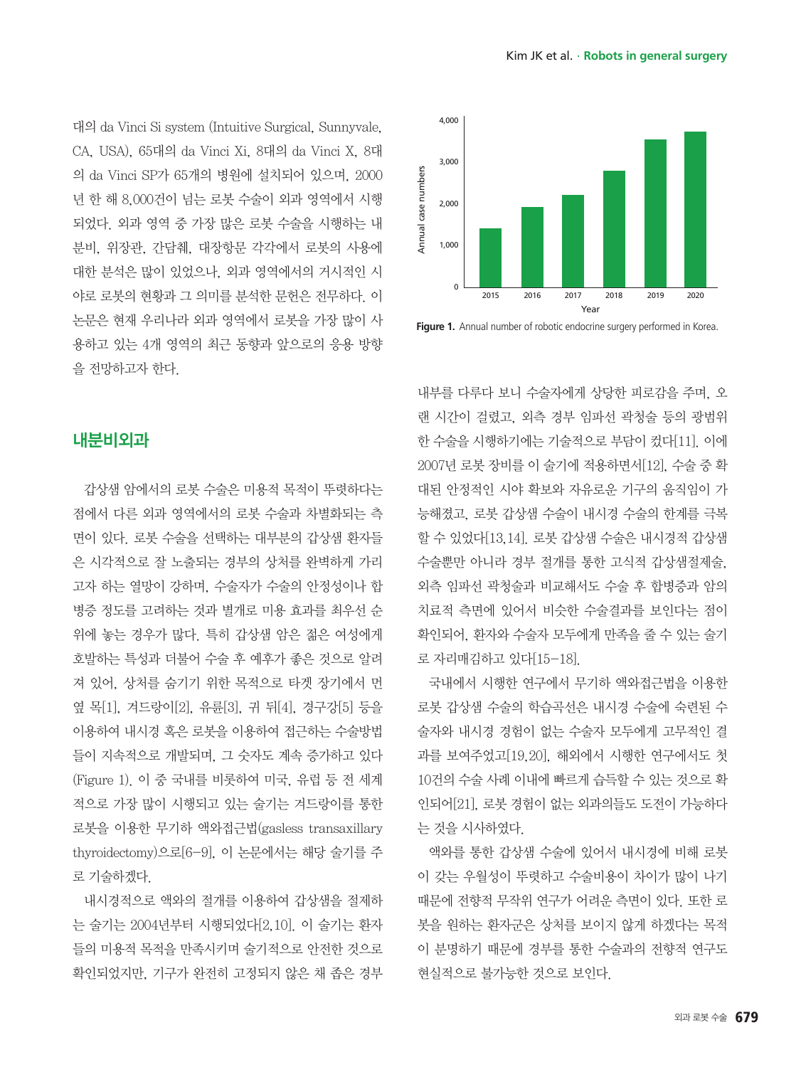대의 da Vinci Si system (Intuitive Surgical, Sunnyvale, CA, USA), 65대의 da Vinci Xi, 8대의 da Vinci X, 8대 의 da Vinci SP가 65개의 병원에 설치되어 있으며, 2000 년 한 해 8,000건이 넘는 로봇 수술이 외과 영역에서 시행 되었다. 외과 영역 중 가장 많은 로봇 수술을 시행하는 내 분비, 위장관, 간담췌, 대장항문 각각에서 로봇의 사용에 대한 분석은 많이 있었으나, 외과 영역에서의 거시적인 시 야로 로봇의 현황과 그 의미를 분석한 문헌은 전무하다. 이 논문은 현재 우리나라 외과 영역에서 로봇을 가장 많이 사 용하고 있는 4개 영역의 최근 동향과 앞으로의 응용 방향 을 전망하고자 한다.

## 내분비외과

갑상샘 암에서의 로봇 수술은 미용적 목적이 뚜렷하다는 점에서 다른 외과 영역에서의 로봇 수술과 차별화되는 측 면이 있다. 로봇 수술을 선택하는 대부분의 갑상샘 환자들 은 시각적으로 잘 노출되는 경부의 상처를 완벽하게 가리 고자 하는 열망이 강하며, 수술자가 수술의 안정성이나 합 병증 정도를 고려하는 것과 별개로 미용 효과를 최우선 순 위에 놓는 경우가 많다. 특히 갑상샘 암은 젊은 여성에게 호발하는 특성과 더불어 수술 후 예후가 좋은 것으로 알려 져 있어, 상처를 숨기기 위한 목적으로 타겟 장기에서 먼 옆 목[1], 겨드랑이[2], 유륜[3], 귀 뒤[4], 경구강[5] 등을 이용하여 내시경 혹은 로봇을 이용하여 접근하는 수술방법 들이 지속적으로 개발되며, 그 숫자도 계속 증가하고 있다 (Figure 1). 이 중 국내를 비롯하여 미국, 유럽 등 전 세계 적으로 가장 많이 시행되고 있는 술기는 겨드랑이를 통한 로봇을 이용한 무기하 액와접근법(gasless transaxillary thyroidectomy)으로[6-9], 이 논문에서는 해당 술기를 주 로 기술하겠다.

내시경적으로 액와의 절개를 이용하여 갑상샘을 절제하 는 술기는 2004년부터 시행되었다[2,10]. 이 술기는 환자 들의 미용적 목적을 만족시키며 술기적으로 안전한 것으로 확인되었지만, 기구가 완전히 고정되지 않은 채 좁은 경부



Figure 1. Annual number of robotic endocrine surgery performed in Korea.

내부를 다루다 보니 수술자에게 상당한 피로감을 주며, 오 랜 시간이 걸렸고, 외측 경부 임파선 곽청술 등의 광범위 한 수술을 시행하기에는 기술적으로 부담이 컸다[11]. 이에 2007년 로봇 장비를 이 술기에 적용하면서[12], 수술 중 확 대된 안정적인 시야 확보와 자유로운 기구의 움직임이 가 능해졌고, 로봇 갑상샘 수술이 내시경 수술의 한계를 극복 할 수 있었다[13,14]. 로봇 갑상샘 수술은 내시경적 갑상샘 수술뿐만 아니라 경부 절개를 통한 고식적 갑상샘절제술, 외측 임파선 곽청술과 비교해서도 수술 후 합병증과 암의 치료적 측면에 있어서 비슷한 수술결과를 보인다는 점이 확인되어, 환자와 수술자 모두에게 만족을 줄 수 있는 술기 로 자리매김하고 있다[15-18].

국내에서 시행한 연구에서 무기하 액와접근법을 이용한 로봇 갑상샘 수술의 학습곡선은 내시경 수술에 숙련된 수 술자와 내시경 경험이 없는 수술자 모두에게 고무적인 결 과를 보여주었고[19,20], 해외에서 시행한 연구에서도 첫 10건의 수술 사례 이내에 빠르게 습득할 수 있는 것으로 확 인되어[21], 로봇 경험이 없는 외과의들도 도전이 가능하다 는 것을 시사하였다.

액와를 통한 갑상샘 수술에 있어서 내시경에 비해 로봇 이 갖는 우월성이 뚜렷하고 수술비용이 차이가 많이 나기 때문에 전향적 무작위 연구가 어려운 측면이 있다. 또한 로 봇을 원하는 환자군은 상처를 보이지 않게 하겠다는 목적 이 분명하기 때문에 경부를 통한 수술과의 전향적 연구도 현실적으로 불가능한 것으로 보인다.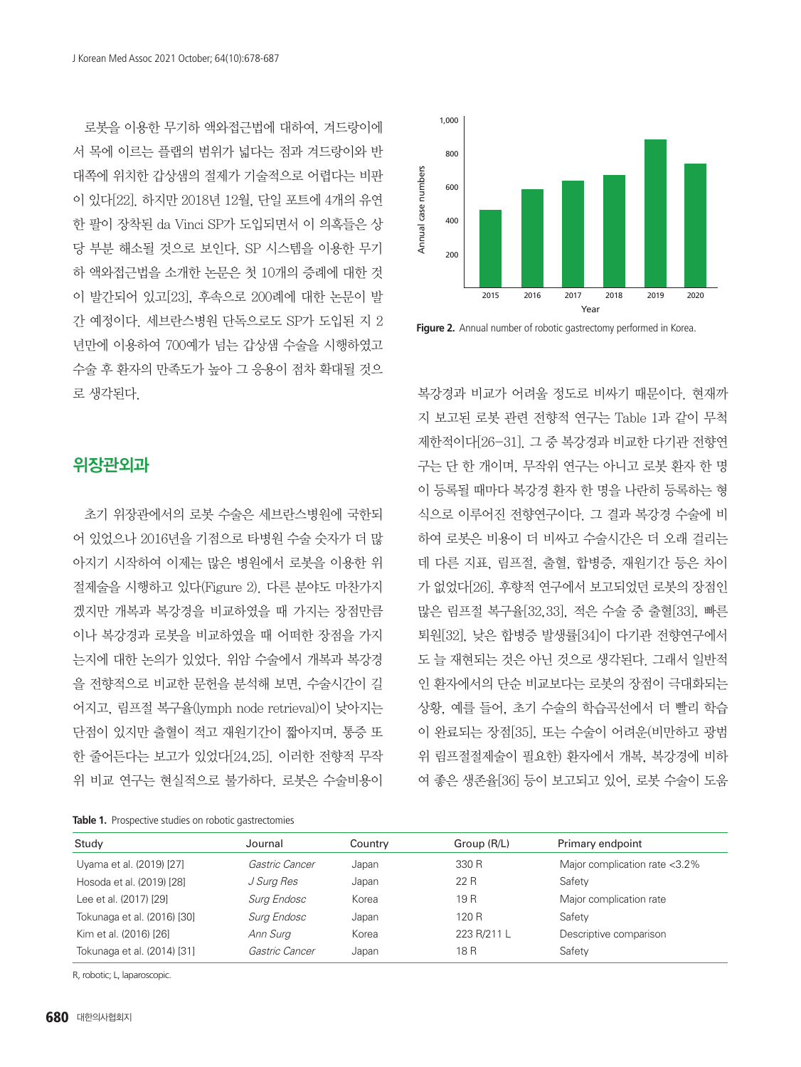로봇을 이용한 무기하 액와접근법에 대하여, 겨드랑이에 서 목에 이르는 플랩의 범위가 넓다는 점과 겨드랑이와 반 대쪽에 위치한 갑상샘의 절제가 기술적으로 어렵다는 비판 이 있다[22]. 하지만 2018년 12월, 단일 포트에 4개의 유연 한 팔이 장착된 da Vinci SP가 도입되면서 이 의혹들은 상 당 부분 해소될 것으로 보인다. SP 시스템을 이용한 무기 하 액와접근법을 소개한 논문은 첫 10개의 증례에 대한 것 이 발간되어 있고[23], 후속으로 200례에 대한 논문이 발 간 예정이다. 세브란스병원 단독으로도 SP가 도입된 지 2 년만에 이용하여 700예가 넘는 갑상샘 수술을 시행하였고 수술 후 환자의 만족도가 높아 그 응용이 점차 확대될 것으 로 생각된다.

# 위장관외과

초기 위장관에서의 로봇 수술은 세브란스병원에 국한되 어 있었으나 2016년을 기점으로 타병원 수술 숫자가 더 많 아지기 시작하여 이제는 많은 병원에서 로봇을 이용한 위 절제술을 시행하고 있다(Figure 2). 다른 분야도 마찬가지 겠지만 개복과 복강경을 비교하였을 때 가지는 장점만큼 이나 복강경과 로봇을 비교하였을 때 어떠한 장점을 가지 는지에 대한 논의가 있었다. 위암 수술에서 개복과 복강경 을 전향적으로 비교한 문헌을 분석해 보면, 수술시간이 길 어지고, 림프절 복구율(lymph node retrieval)이 낮아지는 단점이 있지만 출혈이 적고 재원기간이 짧아지며, 통증 또 한 줄어든다는 보고가 있었다[24,25]. 이러한 전향적 무작 위 비교 연구는 현실적으로 불가하다. 로봇은 수술비용이

**Table 1.** Prospective studies on robotic gastrectomies



Figure 2. Annual number of robotic gastrectomy performed in Korea.

복강경과 비교가 어려울 정도로 비싸기 때문이다. 현재까 지 보고된 로봇 관련 전향적 연구는 Table 1과 같이 무척 제한적이다[26-31]. 그 중 복강경과 비교한 다기관 전향연 구는 단 한 개이며, 무작위 연구는 아니고 로봇 환자 한 명 이 등록될 때마다 복강경 환자 한 명을 나란히 등록하는 형 식으로 이루어진 전향연구이다. 그 결과 복강경 수술에 비 하여 로봇은 비용이 더 비싸고 수술시간은 더 오래 걸리는 데 다른 지표, 림프절, 출혈, 합병증, 재원기간 등은 차이 가 없었다[26]. 후향적 연구에서 보고되었던 로봇의 장점인 많은 림프절 복구율[32,33], 적은 수술 중 출혈[33], 빠른 퇴원[32], 낮은 합병증 발생률[34]이 다기관 전향연구에서 도 늘 재현되는 것은 아닌 것으로 생각된다. 그래서 일반적 인 환자에서의 단순 비교보다는 로봇의 장점이 극대화되는 상황, 예를 들어, 초기 수술의 학습곡선에서 더 빨리 학습 이 완료되는 장점[35], 또는 수술이 어려운(비만하고 광범 위 림프절절제술이 필요한) 환자에서 개복, 복강경에 비하 여 좋은 생존율[36] 등이 보고되고 있어, 로봇 수술이 도움

| Study                       | Journal               | Country | Group (R/L) | Primary endpoint              |
|-----------------------------|-----------------------|---------|-------------|-------------------------------|
| Uyama et al. (2019) [27]    | <i>Gastric Cancer</i> | Japan   | 330 R       | Major complication rate <3.2% |
| Hosoda et al. (2019) [28]   | J Surg Res            | Japan   | 22 R        | Safety                        |
| Lee et al. (2017) [29]      | Surg Endosc           | Korea   | 19 R        | Major complication rate       |
| Tokunaga et al. (2016) [30] | Surg Endosc           | Japan   | 120 R       | Safety                        |
| Kim et al. (2016) [26]      | Ann Surg              | Korea   | 223 R/211 L | Descriptive comparison        |
| Tokunaga et al. (2014) [31] | <i>Gastric Cancer</i> | Japan   | 18 R        | Safety                        |

R, robotic; L, laparoscopic.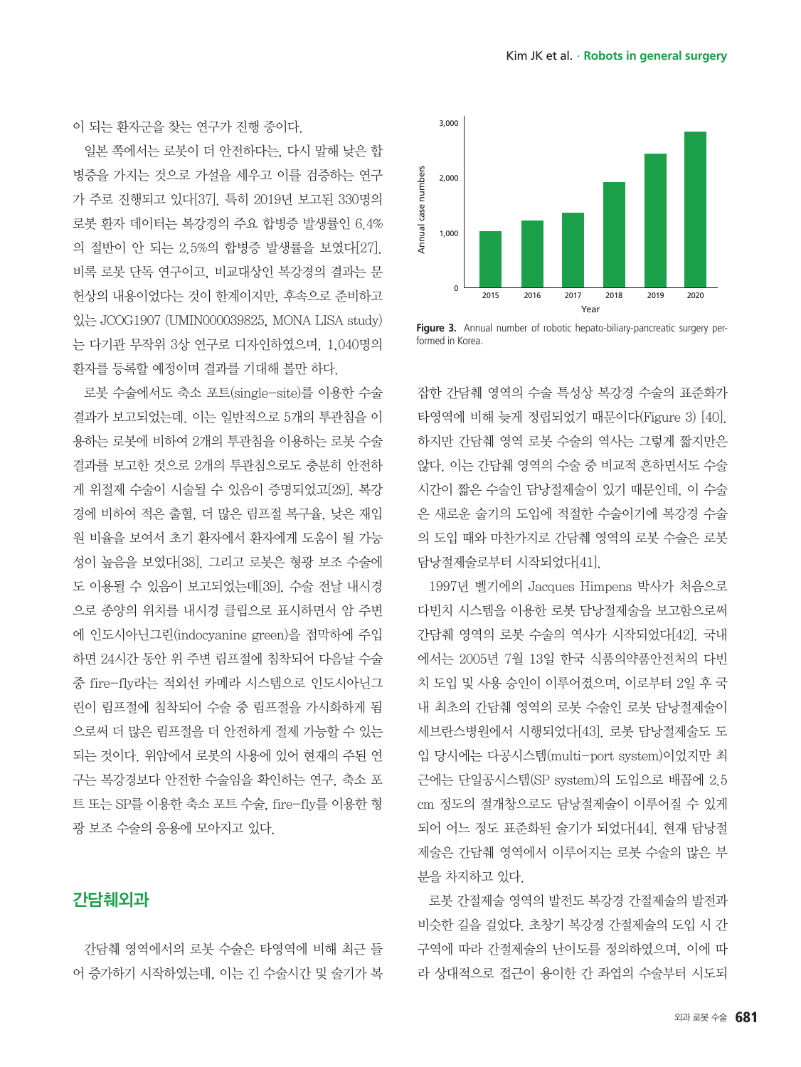이 되는 환자군을 찾는 연구가 진행 중이다.

일본 쪽에서는 로봇이 더 안전하다는, 다시 말해 낮은 합 병증을 가지는 것으로 가설을 세우고 이를 검증하는 연구 가 주로 진행되고 있다[37]. 특히 2019년 보고된 330명의 로봇 환자 데이터는 복강경의 주요 합병증 발생률인 6.4% 의 절반이 안 되는 2.5%의 합병증 발생률을 보였다[27]. 비록 로봇 단독 연구이고, 비교대상인 복강경의 결과는 문 헌상의 내용이었다는 것이 한계이지만, 후속으로 준비하고 있는 JCOG1907 (UMIN000039825, MONA LISA study) 는 다기관 무작위 3상 연구로 디자인하였으며, 1,040명의 환자를 등록할 예정이며 결과를 기대해 볼만 하다.

로봇 수술에서도 축소 포트(single-site)를 이용한 수술 결과가 보고되었는데. 이는 일반적으로 5개의 투관침을 이 용하는 로봇에 비하여 2개의 투관침을 이용하는 로봇 수술 결과를 보고한 것으로 2개의 투관침으로도 충분히 안전하 게 위절제 수술이 시술될 수 있음이 증명되었고[29], 복강 경에 비하여 적은 출혈, 더 많은 림프절 복구율, 낮은 재입 원 비율을 보여서 초기 환자에서 환자에게 도움이 될 가능 성이 높음을 보였다[38]. 그리고 로봇은 형광 보조 수술에 도 이용될 수 있음이 보고되었는데[39], 수술 전날 내시경 으로 종양의 위치를 내시경 클립으로 표시하면서 암 주변 에 인도시아닌그린(indocyanine green)을 점막하에 주입 하면 24시간 동안 위 주변 림프절에 침착되어 다음날 수술 중 fire-fly라는 적외선 카메라 시스템으로 인도시아닌그 린이 림프절에 침착되어 수술 중 림프절을 가시화하게 됨 으로써 더 많은 림프절을 더 안전하게 절제 가능할 수 있는 되는 것이다. 위암에서 로봇의 사용에 있어 현재의 주된 연 구는 복강경보다 안전한 수술임을 확인하는 연구, 축소 포 트 또는 SP를 이용한 축소 포트 수술, fire-fly를 이용한 형 광 보조 수술의 응용에 모아지고 있다.

## 간담췌외과

간담췌 영역에서의 로봇 수술은 타영역에 비해 최근 들 어 증가하기 시작하였는데, 이는 긴 수술시간 및 술기가 복



**Figure 3.** Annual number of robotic hepato-biliary-pancreatic surgery performed in Korea.

잡한 간담췌 영역의 수술 특성상 복강경 수술의 표준화가 타영역에 비해 늦게 정립되었기 때문이다(Figure 3) [40]. 하지만 간담췌 영역 로봇 수술의 역사는 그렇게 짧지만은 않다. 이는 간담췌 영역의 수술 중 비교적 흔하면서도 수술 시간이 짧은 수술인 담낭절제술이 있기 때문인데, 이 수술 은 새로운 술기의 도입에 적절한 수술이기에 복강경 수술 의 도입 때와 마찬가지로 간담췌 영역의 로봇 수술은 로봇 담낭절제술로부터 시작되었다[41].

1997년 벨기에의 Jacques Himpens 박사가 처음으로 다빈치 시스템을 이용한 로봇 담낭절제술을 보고함으로써 간담췌 영역의 로봇 수술의 역사가 시작되었다[42]. 국내 에서는 2005년 7월 13일 한국 식품의약품안전처의 다빈 치 도입 및 사용 승인이 이루어졌으며, 이로부터 2일 후 국 내 최초의 간담췌 영역의 로봇 수술인 로봇 담낭절제술이 세브란스병원에서 시행되었다[43]. 로봇 담낭절제술도 도 입 당시에는 다공시스템(multi-port system)이었지만 최 근에는 단일공시스템(SP system)의 도입으로 배꼽에 2.5 cm 정도의 절개창으로도 담낭절제술이 이루어질 수 있게 되어 어느 정도 표준화된 술기가 되었다[44]. 현재 담낭절 제술은 간담췌 영역에서 이루어지는 로봇 수술의 많은 부 분을 차지하고 있다.

로봇 간절제술 영역의 발전도 복강경 간절제술의 발전과 비슷한 길을 걸었다. 초창기 복강경 간절제술의 도입 시 간 구역에 따라 간절제술의 난이도를 정의하였으며, 이에 따 라 상대적으로 접근이 용이한 간 좌엽의 수술부터 시도되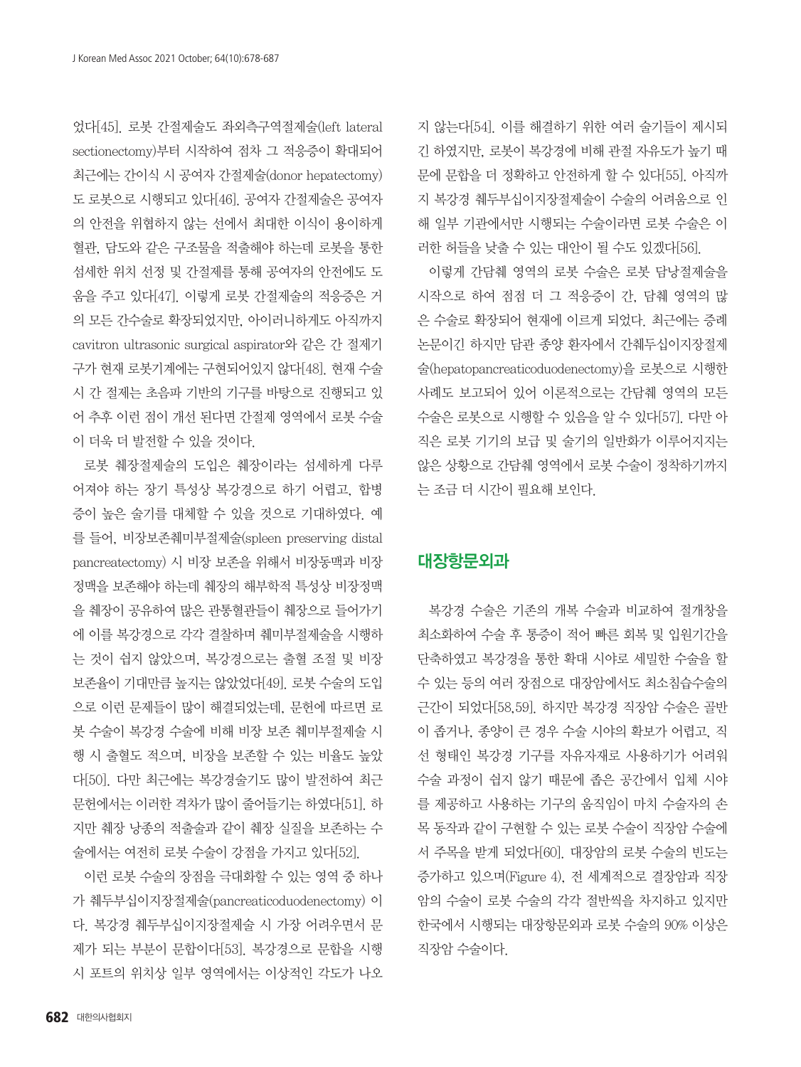었다[45]. 로봇 간절제술도 좌외측구역절제술(left lateral sectionectomy)부터 시작하여 점차 그 적응증이 확대되어 최근에는 간이식 시 공여자 간절제술(donor hepatectomy) 도 로봇으로 시행되고 있다[46]. 공여자 간절제술은 공여자 의 안전을 위협하지 않는 선에서 최대한 이식이 용이하게 혈관, 담도와 같은 구조물을 적출해야 하는데 로봇을 통한 섬세한 위치 선정 및 간절제를 통해 공여자의 안전에도 도 움을 주고 있다[47]. 이렇게 로봇 간절제술의 적응증은 거 의 모든 간수술로 확장되었지만, 아이러니하게도 아직까지 cavitron ultrasonic surgical aspirator와 같은 간 절제기 구가 현재 로봇기계에는 구현되어있지 않다[48]. 현재 수술 시 간 절제는 초음파 기반의 기구를 바탕으로 진행되고 있 어 추후 이런 점이 개선 된다면 간절제 영역에서 로봇 수술 이 더욱 더 발전할 수 있을 것이다.

로봇 췌장절제술의 도입은 췌장이라는 섬세하게 다루 어져야 하는 장기 특성상 복강경으로 하기 어렵고, 합병 증이 높은 술기를 대체할 수 있을 것으로 기대하였다. 예 를 들어, 비장보존췌미부절제술(spleen preserving distal pancreatectomy) 시 비장 보존을 위해서 비장동맥과 비장 정맥을 보존해야 하는데 췌장의 해부학적 특성상 비장정맥 을 췌장이 공유하여 많은 관통혈관들이 췌장으로 들어가기 에 이를 복강경으로 각각 결찰하며 췌미부절제술을 시행하 는 것이 쉽지 않았으며, 복강경으로는 출혈 조절 및 비장 보존율이 기대만큼 높지는 않았었다[49]. 로봇 수술의 도입 으로 이런 문제들이 많이 해결되었는데, 문헌에 따르면 로 봇 수술이 복강경 수술에 비해 비장 보존 췌미부절제술 시 행 시 출혈도 적으며, 비장을 보존할 수 있는 비율도 높았 다[50]. 다만 최근에는 복강경술기도 많이 발전하여 최근 문헌에서는 이러한 격차가 많이 줄어들기는 하였다[51]. 하 지만 췌장 낭종의 적출술과 같이 췌장 실질을 보존하는 수 술에서는 여전히 로봇 수술이 강점을 가지고 있다[52].

이런 로봇 수술의 장점을 극대화할 수 있는 영역 중 하나 가 췌두부십이지장절제술(pancreaticoduodenectomy) 이 다. 복강경 췌두부십이지장절제술 시 가장 어려우면서 문 제가 되는 부분이 문합이다[53]. 복강경으로 문합을 시행 시 포트의 위치상 일부 영역에서는 이상적인 각도가 나오 지 않는다[54]. 이를 해결하기 위한 여러 술기들이 제시되 긴 하였지만, 로봇이 복강경에 비해 관절 자유도가 높기 때 문에 문합을 더 정확하고 안전하게 할 수 있다[55]. 아직까 지 복강경 췌두부십이지장절제술이 수술의 어려움으로 인 해 일부 기관에서만 시행되는 수술이라면 로봇 수술은 이 러한 허들을 낮출 수 있는 대안이 될 수도 있겠다[56].

이렇게 간담췌 영역의 로봇 수술은 로봇 담낭절제술을 시작으로 하여 점점 더 그 적응증이 간, 담췌 영역의 많 은 수술로 확장되어 현재에 이르게 되었다. 최근에는 증례 논문이긴 하지만 담관 종양 환자에서 간췌두십이지장절제 술(hepatopancreaticoduodenectomy)을 로봇으로 시행한 사례도 보고되어 있어 이론적으로는 간담췌 영역의 모든 수술은 로봇으로 시행할 수 있음을 알 수 있다[57]. 다만 아 직은 로봇 기기의 보급 및 술기의 일반화가 이루어지지는 않은 상황으로 간담췌 영역에서 로봇 수술이 정착하기까지 는 조금 더 시간이 필요해 보인다.

# 대장항문외과

복강경 수술은 기존의 개복 수술과 비교하여 절개창을 최소화하여 수술 후 통증이 적어 빠른 회복 및 입원기간을 단축하였고 복강경을 통한 확대 시야로 세밀한 수술을 할 수 있는 등의 여러 장점으로 대장암에서도 최소침습수술의 근간이 되었다[58,59]. 하지만 복강경 직장암 수술은 골반 이 좁거나, 종양이 큰 경우 수술 시야의 확보가 어렵고, 직 선 형태인 복강경 기구를 자유자재로 사용하기가 어려워 수술 과정이 쉽지 않기 때문에 좁은 공간에서 입체 시야 를 제공하고 사용하는 기구의 움직임이 마치 수술자의 손 목 동작과 같이 구현할 수 있는 로봇 수술이 직장암 수술에 서 주목을 받게 되었다[60]. 대장암의 로봇 수술의 빈도는 증가하고 있으며(Figure 4), 전 세계적으로 결장암과 직장 암의 수술이 로봇 수술의 각각 절반씩을 차지하고 있지만 한국에서 시행되는 대장항문외과 로봇 수술의 90% 이상은 직장암 수술이다.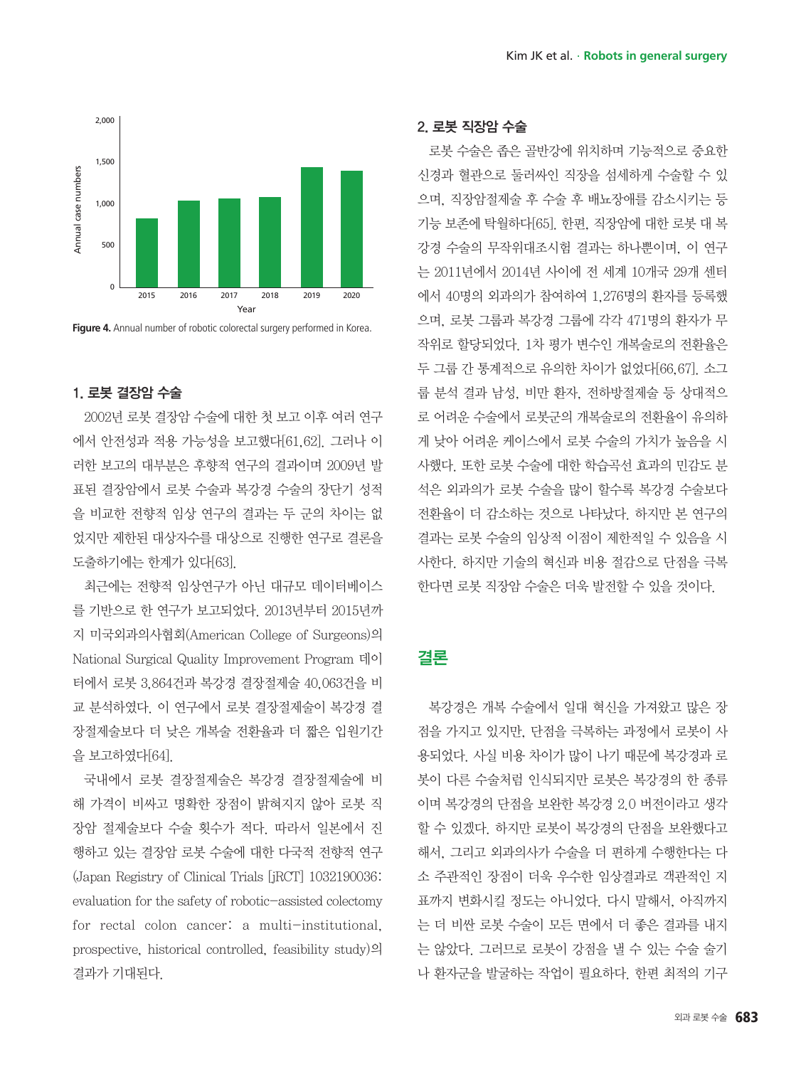

**Figure 4.** Annual number of robotic colorectal surgery performed in Korea.

#### 1. 로봇 결장암 수술

2002년 로봇 결장암 수술에 대한 첫 보고 이후 여러 연구 에서 안전성과 적용 가능성을 보고했다[61,62]. 그러나 이 러한 보고의 대부분은 후향적 연구의 결과이며 2009년 발 표된 결장암에서 로봇 수술과 복강경 수술의 장단기 성적 을 비교한 전향적 임상 연구의 결과는 두 군의 차이는 없 었지만 제한된 대상자수를 대상으로 진행한 연구로 결론을 도출하기에는 한계가 있다[63].

최근에는 전향적 임상연구가 아닌 대규모 데이터베이스 를 기반으로 한 연구가 보고되었다. 2013년부터 2015년까 지 미국외과의사협회(American College of Surgeons)의 National Surgical Quality Improvement Program 데이 터에서 로봇 3,864건과 복강경 결장절제술 40,063건을 비 교 분석하였다. 이 연구에서 로봇 결장절제술이 복강경 결 장절제술보다 더 낮은 개복술 전환율과 더 짧은 입원기간 을 보고하였다[64].

국내에서 로봇 결장절제술은 복강경 결장절제술에 비 해 가격이 비싸고 명확한 장점이 밝혀지지 않아 로봇 직 장암 절제술보다 수술 횟수가 적다. 따라서 일본에서 진 행하고 있는 결장암 로봇 수술에 대한 다국적 전향적 연구 (Japan Registry of Clinical Trials [jRCT] 1032190036: evaluation for the safety of robotic-assisted colectomy for rectal colon cancer: a multi-institutional, prospective, historical controlled, feasibility study)의 결과가 기대된다.

#### 2. 로봇 직장암 수술

로봇 수술은 좁은 골반강에 위치하며 기능적으로 중요한 신경과 혈관으로 둘러싸인 직장을 섬세하게 수술할 수 있 으며, 직장암절제술 후 수술 후 배뇨장애를 감소시키는 등 기능 보존에 탁월하다[65]. 한편, 직장암에 대한 로봇 대 복 강경 수술의 무작위대조시험 결과는 하나뿐이며, 이 연구 는 2011년에서 2014년 사이에 전 세계 10개국 29개 센터 에서 40명의 외과의가 참여하여 1,276명의 환자를 등록했 으며, 로봇 그룹과 복강경 그룹에 각각 471명의 환자가 무 작위로 할당되었다. 1차 평가 변수인 개복술로의 전환율은 두 그룹 간 통계적으로 유의한 차이가 없었다[66,67]. 소그 룹 분석 결과 남성, 비만 환자, 전하방절제술 등 상대적으 로 어려운 수술에서 로봇군의 개복술로의 전환율이 유의하 게 낮아 어려운 케이스에서 로봇 수술의 가치가 높음을 시 사했다. 또한 로봇 수술에 대한 학습곡선 효과의 민감도 분 석은 외과의가 로봇 수술을 많이 할수록 복강경 수술보다 전환율이 더 감소하는 것으로 나타났다. 하지만 본 연구의 결과는 로봇 수술의 임상적 이점이 제한적일 수 있음을 시 사한다. 하지만 기술의 혁신과 비용 절감으로 단점을 극복 한다면 로봇 직장암 수술은 더욱 발전할 수 있을 것이다.

# 결론

복강경은 개복 수술에서 일대 혁신을 가져왔고 많은 장 점을 가지고 있지만, 단점을 극복하는 과정에서 로봇이 사 용되었다. 사실 비용 차이가 많이 나기 때문에 복강경과 로 봇이 다른 수술처럼 인식되지만 로봇은 복강경의 한 종류 이며 복강경의 단점을 보완한 복강경 2.0 버전이라고 생각 할 수 있겠다. 하지만 로봇이 복강경의 단점을 보완했다고 해서, 그리고 외과의사가 수술을 더 편하게 수행한다는 다 소 주관적인 장점이 더욱 우수한 임상결과로 객관적인 지 표까지 변화시킬 정도는 아니었다. 다시 말해서, 아직까지 는 더 비싼 로봇 수술이 모든 면에서 더 좋은 결과를 내지 는 않았다. 그러므로 로봇이 강점을 낼 수 있는 수술 술기 나 환자군을 발굴하는 작업이 필요하다. 한편 최적의 기구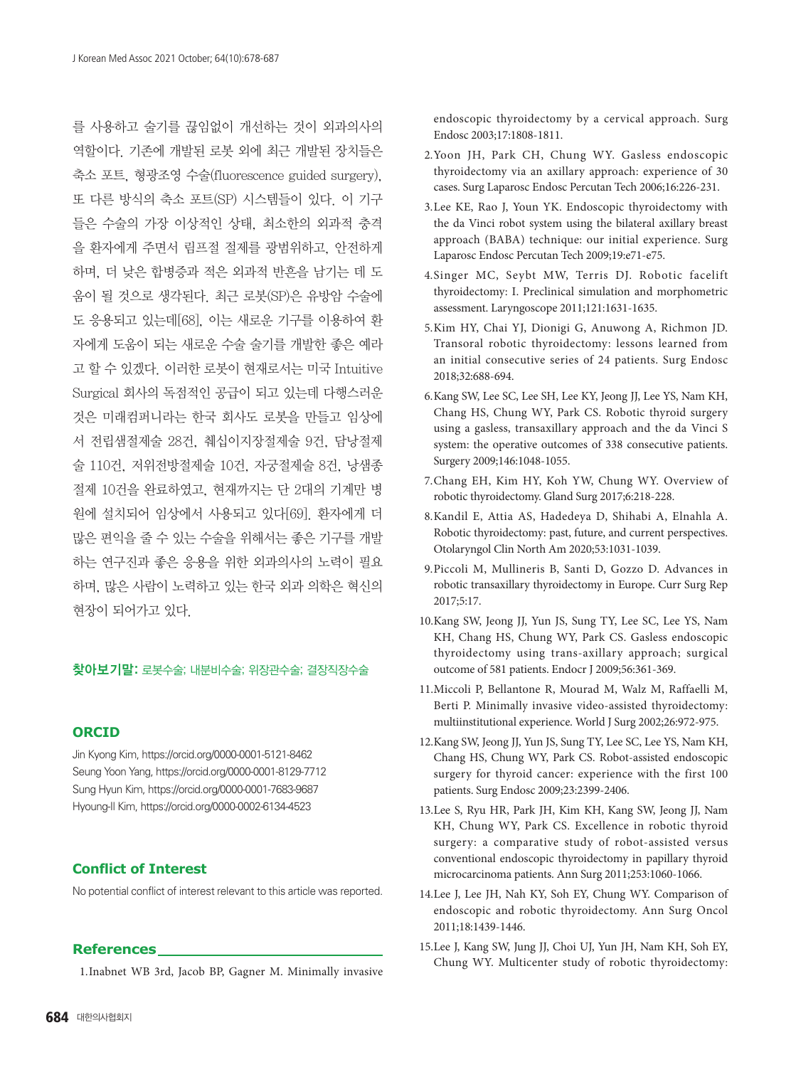를 사용하고 술기를 끊임없이 개선하는 것이 외과의사의 역할이다. 기존에 개발된 로봇 외에 최근 개발된 장치들은 축소 포트, 형광조영 수술(fluorescence guided surgery), 또 다른 방식의 축소 포트(SP) 시스템들이 있다. 이 기구 들은 수술의 가장 이상적인 상태, 최소한의 외과적 충격 을 환자에게 주면서 림프절 절제를 광범위하고, 안전하게 하며, 더 낮은 합병증과 적은 외과적 반흔을 남기는 데 도 움이 될 것으로 생각된다. 최근 로봇(SP)은 유방암 수술에 도 응용되고 있는데[68], 이는 새로운 기구를 이용하여 환 자에게 도움이 되는 새로운 수술 술기를 개발한 좋은 예라 고 할 수 있겠다. 이러한 로봇이 현재로서는 미국 Intuitive Surgical 회사의 독점적인 공급이 되고 있는데 다행스러운 것은 미래컴퍼니라는 한국 회사도 로봇을 만들고 임상에 서 전립샘절제술 28건, 췌십이지장절제술 9건, 담낭절제 술 110건, 저위전방절제술 10건, 자궁절제술 8건, 낭샘종 절제 10건을 완료하였고, 현재까지는 단 2대의 기계만 병 원에 설치되어 임상에서 사용되고 있다[69]. 환자에게 더 많은 편익을 줄 수 있는 수술을 위해서는 좋은 기구를 개발 하는 연구진과 좋은 응용을 위한 외과의사의 노력이 필요 하며, 많은 사람이 노력하고 있는 한국 외과 의학은 혁신의 현장이 되어가고 있다.

### 찾아보기말: 로봇수술; 내분비수술; 위장관수술; 결장직장수술

#### **ORCID**

Jin Kyong Kim, <https://orcid.org/0000-0001-5121-8462> Seung Yoon Yang,<https://orcid.org/0000-0001-8129-7712> Sung Hyun Kim,<https://orcid.org/0000-0001-7683-9687> Hyoung-Il Kim, <https://orcid.org/0000-0002-6134-4523>

#### **Conflict of Interest**

No potential conflict of interest relevant to this article was reported.

#### **References**

[1](1.Demedts). Inabnet WB 3rd, Jacob BP, Gagner M. Minimally invasive

- 2. Yoon JH, Park CH, Chung WY. Gasless endoscopic thyroidectomy via an axillary approach: experience of 30 cases. Surg Laparosc Endosc Percutan Tech 2006;16:226-231.
- 3. Lee KE, Rao J, Youn YK. Endoscopic thyroidectomy with the da Vinci robot system using the bilateral axillary breast approach (BABA) technique: our initial experience. Surg Laparosc Endosc Percutan Tech 2009;19:e71-e75.
- 4. Singer MC, Seybt MW, Terris DJ. Robotic facelift thyroidectomy: I. Preclinical simulation and morphometric assessment. Laryngoscope 2011;121:1631-1635.
- 5. Kim HY, Chai YJ, Dionigi G, Anuwong A, Richmon JD. Transoral robotic thyroidectomy: lessons learned from an initial consecutive series of 24 patients. Surg Endosc 2018;32:688-694.
- 6. Kang SW, Lee SC, Lee SH, Lee KY, Jeong JJ, Lee YS, Nam KH, Chang HS, Chung WY, Park CS. Robotic thyroid surgery using a gasless, transaxillary approach and the da Vinci S system: the operative outcomes of 338 consecutive patients. Surgery 2009;146:1048-1055.
- 7. Chang EH, Kim HY, Koh YW, Chung WY. Overview of robotic thyroidectomy. Gland Surg 2017;6:218-228.
- 8. Kandil E, Attia AS, Hadedeya D, Shihabi A, Elnahla A. Robotic thyroidectomy: past, future, and current perspectives. Otolaryngol Clin North Am 2020;53:1031-1039.
- 9. Piccoli M, Mullineris B, Santi D, Gozzo D. Advances in robotic transaxillary thyroidectomy in Europe. Curr Surg Rep 2017;5:17.
- 10. Kang SW, Jeong JJ, Yun JS, Sung TY, Lee SC, Lee YS, Nam KH, Chang HS, Chung WY, Park CS. Gasless endoscopic thyroidectomy using trans-axillary approach; surgical outcome of 581 patients. Endocr J 2009;56:361-369.
- 11. Miccoli P, Bellantone R, Mourad M, Walz M, Raffaelli M, Berti P. Minimally invasive video-assisted thyroidectomy: multiinstitutional experience. World J Surg 2002;26:972-975.
- 12. Kang SW, Jeong JJ, Yun JS, Sung TY, Lee SC, Lee YS, Nam KH, Chang HS, Chung WY, Park CS. Robot-assisted endoscopic surgery for thyroid cancer: experience with the first 100 patients. Surg Endosc 2009;23:2399-2406.
- 13. Lee S, Ryu HR, Park JH, Kim KH, Kang SW, Jeong JJ, Nam KH, Chung WY, Park CS. Excellence in robotic thyroid surgery: a comparative study of robot-assisted versus conventional endoscopic thyroidectomy in papillary thyroid microcarcinoma patients. Ann Surg 2011;253:1060-1066.
- 14. Lee J, Lee JH, Nah KY, Soh EY, Chung WY. Comparison of endoscopic and robotic thyroidectomy. Ann Surg Oncol 2011;18:1439-1446.
- 15. Lee J, Kang SW, Jung JJ, Choi UJ, Yun JH, Nam KH, Soh EY, Chung WY. Multicenter study of robotic thyroidectomy: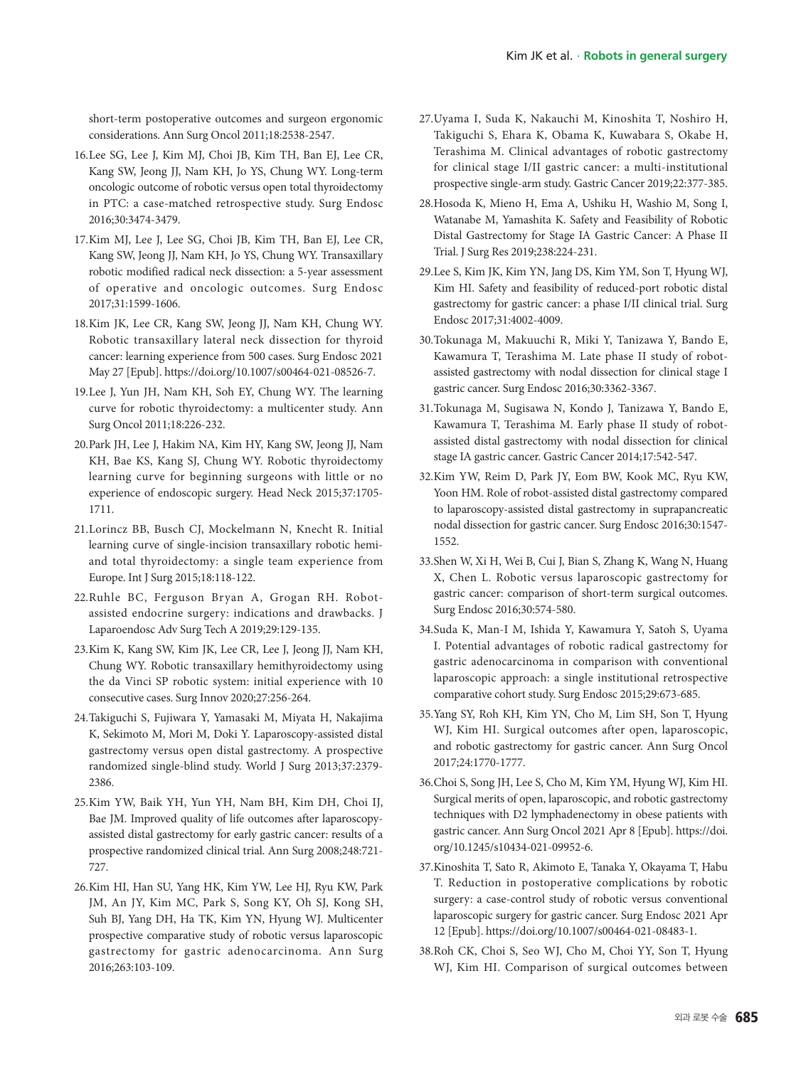short-term postoperative outcomes and surgeon ergonomic considerations. Ann Surg Oncol 2011;18:2538-2547.

- 16. Lee SG, Lee J, Kim MJ, Choi JB, Kim TH, Ban EJ, Lee CR, Kang SW, Jeong JJ, Nam KH, Jo YS, Chung WY. Long-term oncologic outcome of robotic versus open total thyroidectomy in PTC: a case-matched retrospective study. Surg Endosc 2016;30:3474-3479.
- 17. Kim MJ, Lee J, Lee SG, Choi JB, Kim TH, Ban EJ, Lee CR, Kang SW, Jeong JJ, Nam KH, Jo YS, Chung WY. Transaxillary robotic modified radical neck dissection: a 5-year assessment of operative and oncologic outcomes. Surg Endosc 2017;31:1599-1606.
- 18. Kim JK, Lee CR, Kang SW, Jeong JJ, Nam KH, Chung WY. Robotic transaxillary lateral neck dissection for thyroid cancer: learning experience from 500 cases. Surg Endosc 2021 May 27 [Epub].<https://doi.org/10.1007/s00464-021-08526-7>.
- 19. Lee J, Yun JH, Nam KH, Soh EY, Chung WY. The learning curve for robotic thyroidectomy: a multicenter study. Ann Surg Oncol 2011;18:226-232.
- 20. Park JH, Lee J, Hakim NA, Kim HY, Kang SW, Jeong JJ, Nam KH, Bae KS, Kang SJ, Chung WY. Robotic thyroidectomy learning curve for beginning surgeons with little or no experience of endoscopic surgery. Head Neck 2015;37:1705- 1711.
- 21. Lorincz BB, Busch CJ, Mockelmann N, Knecht R. Initial learning curve of single-incision transaxillary robotic hemiand total thyroidectomy: a single team experience from Europe. Int J Surg 2015;18:118-122.
- 22. Ruhle BC, Ferguson Bryan A, Grogan RH. Robotassisted endocrine surgery: indications and drawbacks. J Laparoendosc Adv Surg Tech A 2019;29:129-135.
- 23. Kim K, Kang SW, Kim JK, Lee CR, Lee J, Jeong JJ, Nam KH, Chung WY. Robotic transaxillary hemithyroidectomy using the da Vinci SP robotic system: initial experience with 10 consecutive cases. Surg Innov 2020;27:256-264.
- 24. Takiguchi S, Fujiwara Y, Yamasaki M, Miyata H, Nakajima K, Sekimoto M, Mori M, Doki Y. Laparoscopy-assisted distal gastrectomy versus open distal gastrectomy. A prospective randomized single-blind study. World J Surg 2013;37:2379- 2386.
- 25. Kim YW, Baik YH, Yun YH, Nam BH, Kim DH, Choi IJ, Bae JM. Improved quality of life outcomes after laparoscopyassisted distal gastrectomy for early gastric cancer: results of a prospective randomized clinical trial. Ann Surg 2008;248:721- 727.
- 26. Kim HI, Han SU, Yang HK, Kim YW, Lee HJ, Ryu KW, Park JM, An JY, Kim MC, Park S, Song KY, Oh SJ, Kong SH, Suh BJ, Yang DH, Ha TK, Kim YN, Hyung WJ. Multicenter prospective comparative study of robotic versus laparoscopic gastrectomy for gastric adenocarcinoma. Ann Surg 2016;263:103-109.
- 27. Uyama I, Suda K, Nakauchi M, Kinoshita T, Noshiro H, Takiguchi S, Ehara K, Obama K, Kuwabara S, Okabe H, Terashima M. Clinical advantages of robotic gastrectomy for clinical stage I/II gastric cancer: a multi-institutional prospective single-arm study. Gastric Cancer 2019;22:377-385.
- 28. Hosoda K, Mieno H, Ema A, Ushiku H, Washio M, Song I, Watanabe M, Yamashita K. Safety and Feasibility of Robotic Distal Gastrectomy for Stage IA Gastric Cancer: A Phase II Trial. J Surg Res 2019;238:224-231.
- 29. Lee S, Kim JK, Kim YN, Jang DS, Kim YM, Son T, Hyung WJ, Kim HI. Safety and feasibility of reduced-port robotic distal gastrectomy for gastric cancer: a phase I/II clinical trial. Surg Endosc 2017;31:4002-4009.
- 30. Tokunaga M, Makuuchi R, Miki Y, Tanizawa Y, Bando E, Kawamura T, Terashima M. Late phase II study of robotassisted gastrectomy with nodal dissection for clinical stage I gastric cancer. Surg Endosc 2016;30:3362-3367.
- 31. Tokunaga M, Sugisawa N, Kondo J, Tanizawa Y, Bando E, Kawamura T, Terashima M. Early phase II study of robotassisted distal gastrectomy with nodal dissection for clinical stage IA gastric cancer. Gastric Cancer 2014;17:542-547.
- 32. Kim YW, Reim D, Park JY, Eom BW, Kook MC, Ryu KW, Yoon HM. Role of robot-assisted distal gastrectomy compared to laparoscopy-assisted distal gastrectomy in suprapancreatic nodal dissection for gastric cancer. Surg Endosc 2016;30:1547- 1552.
- 33. Shen W, Xi H, Wei B, Cui J, Bian S, Zhang K, Wang N, Huang X, Chen L. Robotic versus laparoscopic gastrectomy for gastric cancer: comparison of short-term surgical outcomes. Surg Endosc 2016;30:574-580.
- 34. Suda K, Man-I M, Ishida Y, Kawamura Y, Satoh S, Uyama I. Potential advantages of robotic radical gastrectomy for gastric adenocarcinoma in comparison with conventional laparoscopic approach: a single institutional retrospective comparative cohort study. Surg Endosc 2015;29:673-685.
- 35. Yang SY, Roh KH, Kim YN, Cho M, Lim SH, Son T, Hyung WJ, Kim HI. Surgical outcomes after open, laparoscopic, and robotic gastrectomy for gastric cancer. Ann Surg Oncol 2017;24:1770-1777.
- 36. Choi S, Song JH, Lee S, Cho M, Kim YM, Hyung WJ, Kim HI. Surgical merits of open, laparoscopic, and robotic gastrectomy techniques with D2 lymphadenectomy in obese patients with gastric cancer. Ann Surg Oncol 2021 Apr 8 [Epub]. [https://doi.](https://doi.org/10.1245/s10434-021-09952-6) [org/10.1245/s10434-021-09952-6](https://doi.org/10.1245/s10434-021-09952-6).
- 37. Kinoshita T, Sato R, Akimoto E, Tanaka Y, Okayama T, Habu T. Reduction in postoperative complications by robotic surgery: a case-control study of robotic versus conventional laparoscopic surgery for gastric cancer. Surg Endosc 2021 Apr 12 [Epub]. [https://doi.org/10.1007/s00464-021-08483-1.](https://doi.org/10.1007/s00464-021-08483-1)
- 38. Roh CK, Choi S, Seo WJ, Cho M, Choi YY, Son T, Hyung WJ, Kim HI. Comparison of surgical outcomes between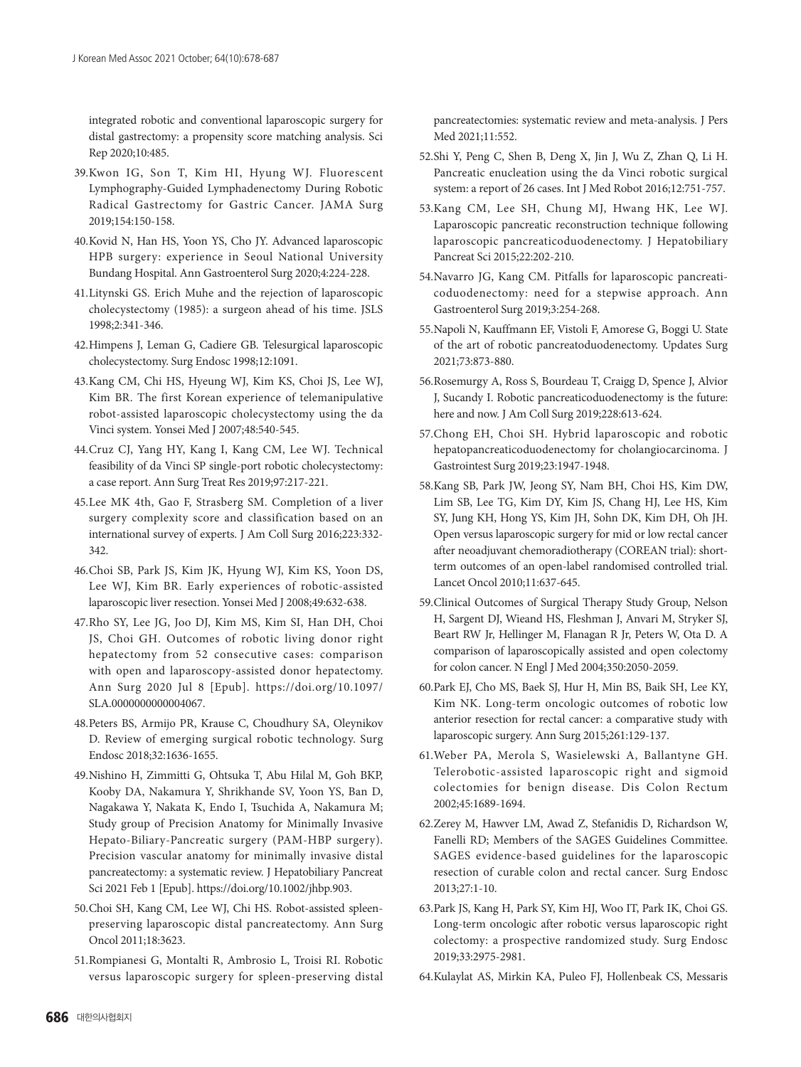integrated robotic and conventional laparoscopic surgery for distal gastrectomy: a propensity score matching analysis. Sci Rep 2020;10:485.

- 39. Kwon IG, Son T, Kim HI, Hyung WJ. Fluorescent Lymphography-Guided Lymphadenectomy During Robotic Radical Gastrectomy for Gastric Cancer. JAMA Surg 2019;154:150-158.
- 40. Kovid N, Han HS, Yoon YS, Cho JY. Advanced laparoscopic HPB surgery: experience in Seoul National University Bundang Hospital. Ann Gastroenterol Surg 2020;4:224-228.
- 41. Litynski GS. Erich Muhe and the rejection of laparoscopic cholecystectomy (1985): a surgeon ahead of his time. JSLS 1998;2:341-346.
- 42. Himpens J, Leman G, Cadiere GB. Telesurgical laparoscopic cholecystectomy. Surg Endosc 1998;12:1091.
- 43. Kang CM, Chi HS, Hyeung WJ, Kim KS, Choi JS, Lee WJ, Kim BR. The first Korean experience of telemanipulative robot-assisted laparoscopic cholecystectomy using the da Vinci system. Yonsei Med J 2007;48:540-545.
- 44. Cruz CJ, Yang HY, Kang I, Kang CM, Lee WJ. Technical feasibility of da Vinci SP single-port robotic cholecystectomy: a case report. Ann Surg Treat Res 2019;97:217-221.
- 45. Lee MK 4th, Gao F, Strasberg SM. Completion of a liver surgery complexity score and classification based on an international survey of experts. J Am Coll Surg 2016;223:332- 342.
- 46. Choi SB, Park JS, Kim JK, Hyung WJ, Kim KS, Yoon DS, Lee WJ, Kim BR. Early experiences of robotic-assisted laparoscopic liver resection. Yonsei Med J 2008;49:632-638.
- 47. Rho SY, Lee JG, Joo DJ, Kim MS, Kim SI, Han DH, Choi JS, Choi GH. Outcomes of robotic living donor right hepatectomy from 52 consecutive cases: comparison with open and laparoscopy-assisted donor hepatectomy. Ann Surg 2020 Jul 8 [Epub]. [https://doi.org/10.1097/](https://doi.org/10.1097/SLA.0000000000004067) [SLA.0000000000004067.](https://doi.org/10.1097/SLA.0000000000004067)
- 48. Peters BS, Armijo PR, Krause C, Choudhury SA, Oleynikov D. Review of emerging surgical robotic technology. Surg Endosc 2018;32:1636-1655.
- 49. Nishino H, Zimmitti G, Ohtsuka T, Abu Hilal M, Goh BKP, Kooby DA, Nakamura Y, Shrikhande SV, Yoon YS, Ban D, Nagakawa Y, Nakata K, Endo I, Tsuchida A, Nakamura M; Study group of Precision Anatomy for Minimally Invasive Hepato-Biliary-Pancreatic surgery (PAM-HBP surgery). Precision vascular anatomy for minimally invasive distal pancreatectomy: a systematic review. J Hepatobiliary Pancreat Sci 2021 Feb 1 [Epub].<https://doi.org/10.1002/jhbp.903>.
- 50. Choi SH, Kang CM, Lee WJ, Chi HS. Robot-assisted spleenpreserving laparoscopic distal pancreatectomy. Ann Surg Oncol 2011;18:3623.
- 51. Rompianesi G, Montalti R, Ambrosio L, Troisi RI. Robotic versus laparoscopic surgery for spleen-preserving distal

pancreatectomies: systematic review and meta-analysis. J Pers Med 2021;11:552.

- 52. Shi Y, Peng C, Shen B, Deng X, Jin J, Wu Z, Zhan Q, Li H. Pancreatic enucleation using the da Vinci robotic surgical system: a report of 26 cases. Int J Med Robot 2016;12:751-757.
- 53. Kang CM, Lee SH, Chung MJ, Hwang HK, Lee WJ. Laparoscopic pancreatic reconstruction technique following laparoscopic pancreaticoduodenectomy. J Hepatobiliary Pancreat Sci 2015;22:202-210.
- 54. Navarro JG, Kang CM. Pitfalls for laparoscopic pancreaticoduodenectomy: need for a stepwise approach. Ann Gastroenterol Surg 2019;3:254-268.
- 55. Napoli N, Kauffmann EF, Vistoli F, Amorese G, Boggi U. State of the art of robotic pancreatoduodenectomy. Updates Surg 2021;73:873-880.
- 56. Rosemurgy A, Ross S, Bourdeau T, Craigg D, Spence J, Alvior J, Sucandy I. Robotic pancreaticoduodenectomy is the future: here and now. J Am Coll Surg 2019;228:613-624.
- 57. Chong EH, Choi SH. Hybrid laparoscopic and robotic hepatopancreaticoduodenectomy for cholangiocarcinoma. J Gastrointest Surg 2019;23:1947-1948.
- 58. Kang SB, Park JW, Jeong SY, Nam BH, Choi HS, Kim DW, Lim SB, Lee TG, Kim DY, Kim JS, Chang HJ, Lee HS, Kim SY, Jung KH, Hong YS, Kim JH, Sohn DK, Kim DH, Oh JH. Open versus laparoscopic surgery for mid or low rectal cancer after neoadjuvant chemoradiotherapy (COREAN trial): shortterm outcomes of an open-label randomised controlled trial. Lancet Oncol 2010;11:637-645.
- 59. Clinical Outcomes of Surgical Therapy Study Group, Nelson H, Sargent DJ, Wieand HS, Fleshman J, Anvari M, Stryker SJ, Beart RW Jr, Hellinger M, Flanagan R Jr, Peters W, Ota D. A comparison of laparoscopically assisted and open colectomy for colon cancer. N Engl J Med 2004;350:2050-2059.
- 60. Park EJ, Cho MS, Baek SJ, Hur H, Min BS, Baik SH, Lee KY, Kim NK. Long-term oncologic outcomes of robotic low anterior resection for rectal cancer: a comparative study with laparoscopic surgery. Ann Surg 2015;261:129-137.
- 61. Weber PA, Merola S, Wasielewski A, Ballantyne GH. Telerobotic-assisted laparoscopic right and sigmoid colectomies for benign disease. Dis Colon Rectum 2002;45:1689-1694.
- 62. Zerey M, Hawver LM, Awad Z, Stefanidis D, Richardson W, Fanelli RD; Members of the SAGES Guidelines Committee. SAGES evidence-based guidelines for the laparoscopic resection of curable colon and rectal cancer. Surg Endosc 2013;27:1-10.
- 63. Park JS, Kang H, Park SY, Kim HJ, Woo IT, Park IK, Choi GS. Long-term oncologic after robotic versus laparoscopic right colectomy: a prospective randomized study. Surg Endosc 2019;33:2975-2981.
- 64. Kulaylat AS, Mirkin KA, Puleo FJ, Hollenbeak CS, Messaris